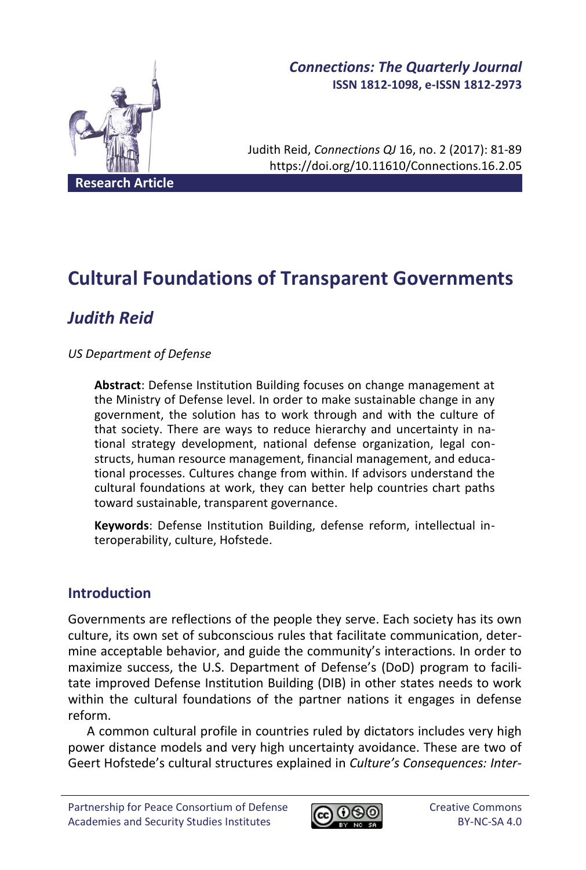

# *Connections: The Quarterly Journal* **ISSN 1812-1098, e-ISSN 1812-2973**

Judith Reid, *Connections QJ* 16, no. 2 (2017): 81-89 https://doi.org/10.11610/Connections.16.2.05

**Cultural Foundations of Transparent Governments**

# *Judith Reid*

# *US Department of Defense*

**Abstract**: Defense Institution Building focuses on change management at the Ministry of Defense level. In order to make sustainable change in any government, the solution has to work through and with the culture of that society. There are ways to reduce hierarchy and uncertainty in national strategy development, national defense organization, legal constructs, human resource management, financial management, and educational processes. Cultures change from within. If advisors understand the cultural foundations at work, they can better help countries chart paths toward sustainable, transparent governance.

**Keywords**: Defense Institution Building, defense reform, intellectual interoperability, culture, Hofstede.

# **Introduction**

Governments are reflections of the people they serve. Each society has its own culture, its own set of subconscious rules that facilitate communication, determine acceptable behavior, and guide the community's interactions. In order to maximize success, the U.S. Department of Defense's (DoD) program to facilitate improved Defense Institution Building (DIB) in other states needs to work within the cultural foundations of the partner nations it engages in defense reform.

A common cultural profile in countries ruled by dictators includes very high power distance models and very high uncertainty avoidance. These are two of Geert Hofstede's cultural structures explained in *Culture's Consequences: Inter-*

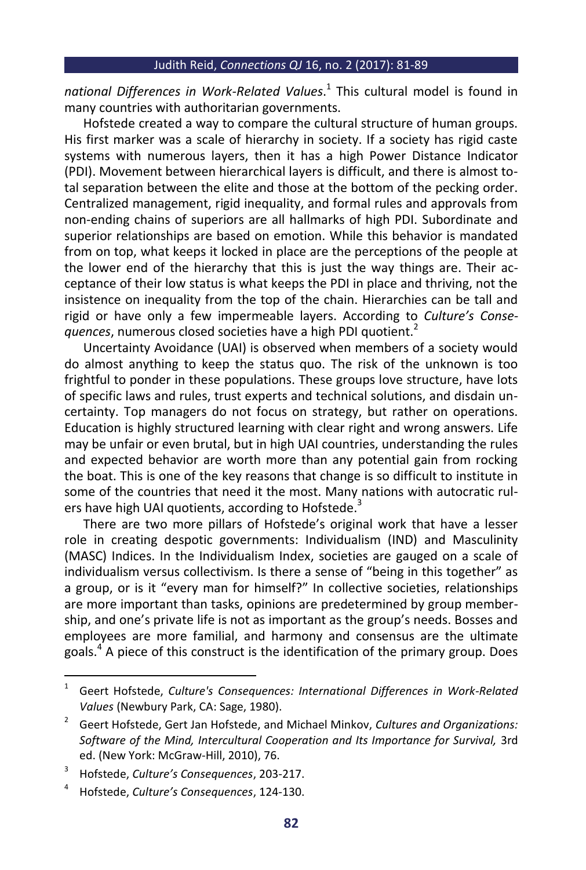*national Differences in Work-Related Values*. 1 This cultural model is found in many countries with authoritarian governments.

Hofstede created a way to compare the cultural structure of human groups. His first marker was a scale of hierarchy in society. If a society has rigid caste systems with numerous layers, then it has a high Power Distance Indicator (PDI). Movement between hierarchical layers is difficult, and there is almost total separation between the elite and those at the bottom of the pecking order. Centralized management, rigid inequality, and formal rules and approvals from non-ending chains of superiors are all hallmarks of high PDI. Subordinate and superior relationships are based on emotion. While this behavior is mandated from on top, what keeps it locked in place are the perceptions of the people at the lower end of the hierarchy that this is just the way things are. Their acceptance of their low status is what keeps the PDI in place and thriving, not the insistence on inequality from the top of the chain. Hierarchies can be tall and rigid or have only a few impermeable layers. According to *Culture's Consequences*, numerous closed societies have a high PDI quotient.<sup>2</sup>

Uncertainty Avoidance (UAI) is observed when members of a society would do almost anything to keep the status quo. The risk of the unknown is too frightful to ponder in these populations. These groups love structure, have lots of specific laws and rules, trust experts and technical solutions, and disdain uncertainty. Top managers do not focus on strategy, but rather on operations. Education is highly structured learning with clear right and wrong answers. Life may be unfair or even brutal, but in high UAI countries, understanding the rules and expected behavior are worth more than any potential gain from rocking the boat. This is one of the key reasons that change is so difficult to institute in some of the countries that need it the most. Many nations with autocratic rulers have high UAI quotients, according to Hofstede.<sup>3</sup>

There are two more pillars of Hofstede's original work that have a lesser role in creating despotic governments: Individualism (IND) and Masculinity (MASC) Indices. In the Individualism Index, societies are gauged on a scale of individualism versus collectivism. Is there a sense of "being in this together" as a group, or is it "every man for himself?" In collective societies, relationships are more important than tasks, opinions are predetermined by group membership, and one's private life is not as important as the group's needs. Bosses and employees are more familial, and harmony and consensus are the ultimate goals.<sup>4</sup> A piece of this construct is the identification of the primary group. Does

 $\overline{1}$ Geert Hofstede, *Culture's Consequences: International Differences in Work-Related Values* (Newbury Park, CA: Sage, 1980).

<sup>2</sup> Geert Hofstede, Gert Jan Hofstede, and Michael Minkov, *Cultures and Organizations: Software of the Mind, Intercultural Cooperation and Its Importance for Survival,* 3rd ed. (New York: McGraw-Hill, 2010), 76.

<sup>3</sup> Hofstede, *Culture's Consequences*, 203-217.

<sup>4</sup> Hofstede, *Culture's Consequences*, 124-130.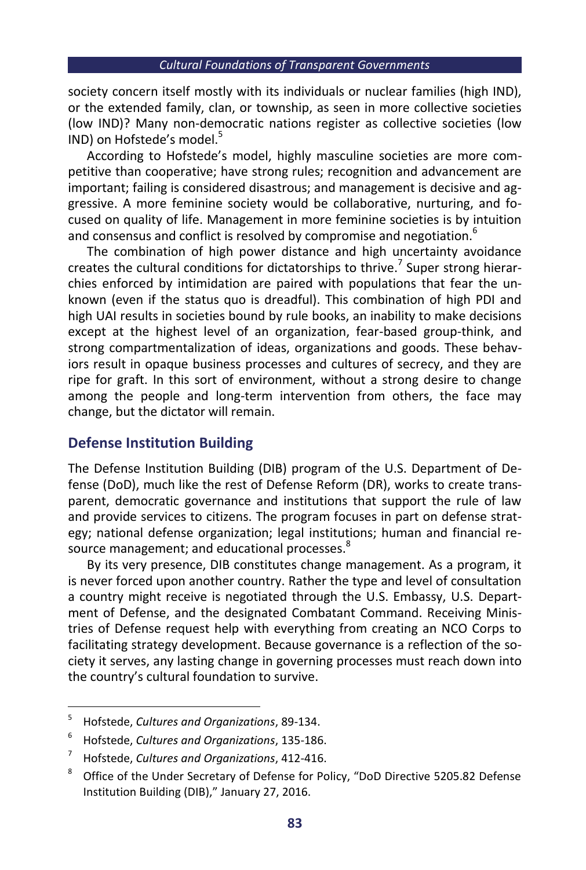#### *Cultural Foundations of Transparent Governments*

society concern itself mostly with its individuals or nuclear families (high IND), or the extended family, clan, or township, as seen in more collective societies (low IND)? Many non-democratic nations register as collective societies (low IND) on Hofstede's model.<sup>5</sup>

According to Hofstede's model, highly masculine societies are more competitive than cooperative; have strong rules; recognition and advancement are important; failing is considered disastrous; and management is decisive and aggressive. A more feminine society would be collaborative, nurturing, and focused on quality of life. Management in more feminine societies is by intuition and consensus and conflict is resolved by compromise and negotiation. $<sup>6</sup>$ </sup>

The combination of high power distance and high uncertainty avoidance creates the cultural conditions for dictatorships to thrive.<sup>7</sup> Super strong hierarchies enforced by intimidation are paired with populations that fear the unknown (even if the status quo is dreadful). This combination of high PDI and high UAI results in societies bound by rule books, an inability to make decisions except at the highest level of an organization, fear-based group-think, and strong compartmentalization of ideas, organizations and goods. These behaviors result in opaque business processes and cultures of secrecy, and they are ripe for graft. In this sort of environment, without a strong desire to change among the people and long-term intervention from others, the face may change, but the dictator will remain.

# **Defense Institution Building**

The Defense Institution Building (DIB) program of the U.S. Department of Defense (DoD), much like the rest of Defense Reform (DR), works to create transparent, democratic governance and institutions that support the rule of law and provide services to citizens. The program focuses in part on defense strategy; national defense organization; legal institutions; human and financial resource management; and educational processes.<sup>8</sup>

By its very presence, DIB constitutes change management. As a program, it is never forced upon another country. Rather the type and level of consultation a country might receive is negotiated through the U.S. Embassy, U.S. Department of Defense, and the designated Combatant Command. Receiving Ministries of Defense request help with everything from creating an NCO Corps to facilitating strategy development. Because governance is a reflection of the society it serves, any lasting change in governing processes must reach down into the country's cultural foundation to survive.

**.** 

<sup>5</sup> Hofstede, *Cultures and Organizations*, 89-134.

<sup>6</sup> Hofstede, *Cultures and Organizations*, 135-186.

<sup>7</sup> Hofstede, *Cultures and Organizations*, 412-416.

<sup>&</sup>lt;sup>8</sup> Office of the Under Secretary of Defense for Policy, "DoD Directive 5205.82 Defense Institution Building (DIB)," January 27, 2016.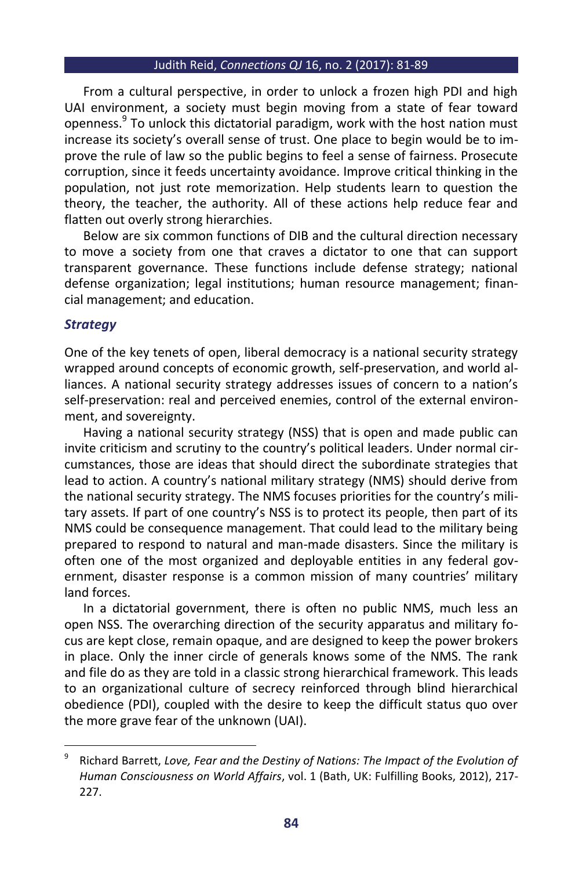#### Judith Reid, *Connections QJ* 16, no. 2 (2017): 81-89

From a cultural perspective, in order to unlock a frozen high PDI and high UAI environment, a society must begin moving from a state of fear toward openness.<sup>9</sup> To unlock this dictatorial paradigm, work with the host nation must increase its society's overall sense of trust. One place to begin would be to improve the rule of law so the public begins to feel a sense of fairness. Prosecute corruption, since it feeds uncertainty avoidance. Improve critical thinking in the population, not just rote memorization. Help students learn to question the theory, the teacher, the authority. All of these actions help reduce fear and flatten out overly strong hierarchies.

Below are six common functions of DIB and the cultural direction necessary to move a society from one that craves a dictator to one that can support transparent governance. These functions include defense strategy; national defense organization; legal institutions; human resource management; financial management; and education.

# *Strategy*

1

One of the key tenets of open, liberal democracy is a national security strategy wrapped around concepts of economic growth, self-preservation, and world alliances. A national security strategy addresses issues of concern to a nation's self-preservation: real and perceived enemies, control of the external environment, and sovereignty.

Having a national security strategy (NSS) that is open and made public can invite criticism and scrutiny to the country's political leaders. Under normal circumstances, those are ideas that should direct the subordinate strategies that lead to action. A country's national military strategy (NMS) should derive from the national security strategy. The NMS focuses priorities for the country's military assets. If part of one country's NSS is to protect its people, then part of its NMS could be consequence management. That could lead to the military being prepared to respond to natural and man-made disasters. Since the military is often one of the most organized and deployable entities in any federal government, disaster response is a common mission of many countries' military land forces.

In a dictatorial government, there is often no public NMS, much less an open NSS. The overarching direction of the security apparatus and military focus are kept close, remain opaque, and are designed to keep the power brokers in place. Only the inner circle of generals knows some of the NMS. The rank and file do as they are told in a classic strong hierarchical framework. This leads to an organizational culture of secrecy reinforced through blind hierarchical obedience (PDI), coupled with the desire to keep the difficult status quo over the more grave fear of the unknown (UAI).

<sup>9</sup> Richard Barrett, *Love, Fear and the Destiny of Nations: The Impact of the Evolution of Human Consciousness on World Affairs*, vol. 1 (Bath, UK: Fulfilling Books, 2012), 217- 227.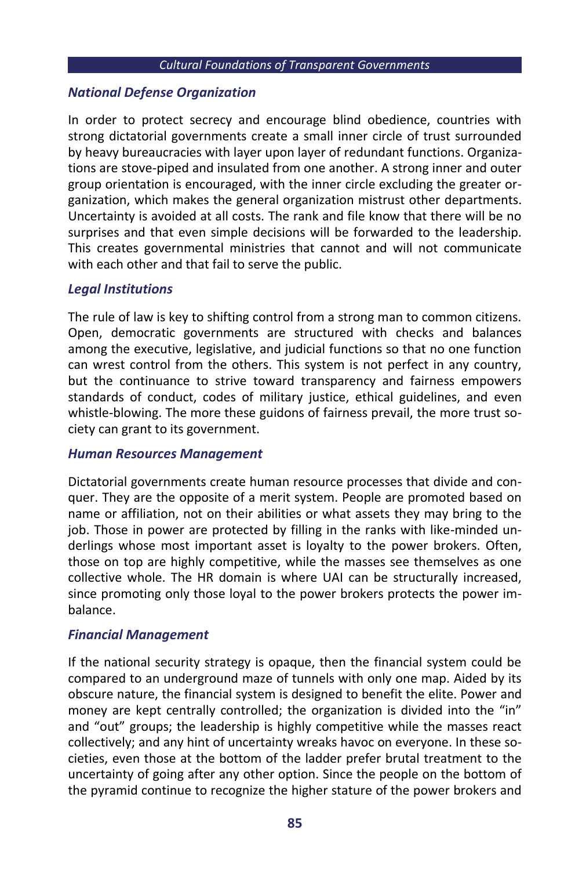#### *Cultural Foundations of Transparent Governments*

# *National Defense Organization*

In order to protect secrecy and encourage blind obedience, countries with strong dictatorial governments create a small inner circle of trust surrounded by heavy bureaucracies with layer upon layer of redundant functions. Organizations are stove-piped and insulated from one another. A strong inner and outer group orientation is encouraged, with the inner circle excluding the greater organization, which makes the general organization mistrust other departments. Uncertainty is avoided at all costs. The rank and file know that there will be no surprises and that even simple decisions will be forwarded to the leadership. This creates governmental ministries that cannot and will not communicate with each other and that fail to serve the public.

# *Legal Institutions*

The rule of law is key to shifting control from a strong man to common citizens. Open, democratic governments are structured with checks and balances among the executive, legislative, and judicial functions so that no one function can wrest control from the others. This system is not perfect in any country, but the continuance to strive toward transparency and fairness empowers standards of conduct, codes of military justice, ethical guidelines, and even whistle-blowing. The more these guidons of fairness prevail, the more trust society can grant to its government.

# *Human Resources Management*

Dictatorial governments create human resource processes that divide and conquer. They are the opposite of a merit system. People are promoted based on name or affiliation, not on their abilities or what assets they may bring to the job. Those in power are protected by filling in the ranks with like-minded underlings whose most important asset is loyalty to the power brokers. Often, those on top are highly competitive, while the masses see themselves as one collective whole. The HR domain is where UAI can be structurally increased, since promoting only those loyal to the power brokers protects the power imbalance.

# *Financial Management*

If the national security strategy is opaque, then the financial system could be compared to an underground maze of tunnels with only one map. Aided by its obscure nature, the financial system is designed to benefit the elite. Power and money are kept centrally controlled; the organization is divided into the "in" and "out" groups; the leadership is highly competitive while the masses react collectively; and any hint of uncertainty wreaks havoc on everyone. In these societies, even those at the bottom of the ladder prefer brutal treatment to the uncertainty of going after any other option. Since the people on the bottom of the pyramid continue to recognize the higher stature of the power brokers and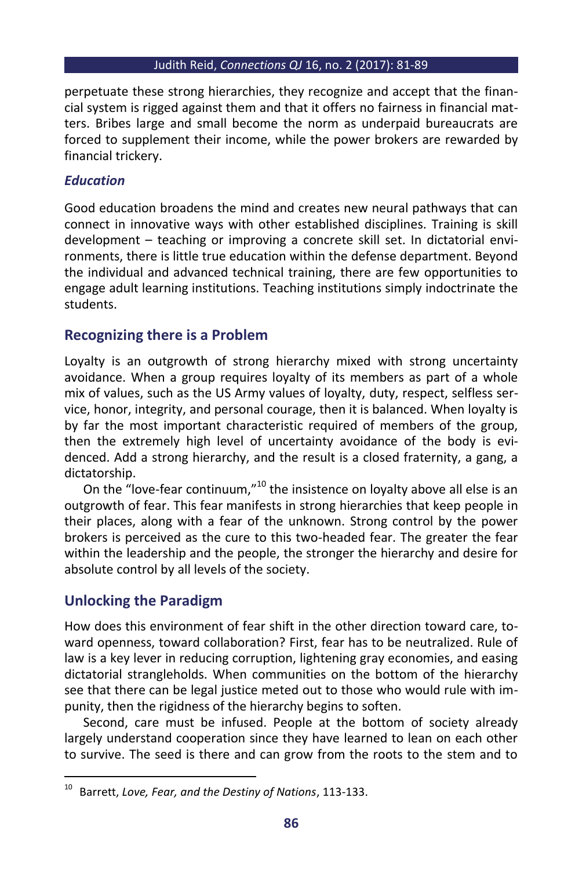### Judith Reid, *Connections QJ* 16, no. 2 (2017): 81-89

perpetuate these strong hierarchies, they recognize and accept that the financial system is rigged against them and that it offers no fairness in financial matters. Bribes large and small become the norm as underpaid bureaucrats are forced to supplement their income, while the power brokers are rewarded by financial trickery.

# *Education*

Good education broadens the mind and creates new neural pathways that can connect in innovative ways with other established disciplines. Training is skill development – teaching or improving a concrete skill set. In dictatorial environments, there is little true education within the defense department. Beyond the individual and advanced technical training, there are few opportunities to engage adult learning institutions. Teaching institutions simply indoctrinate the students.

# **Recognizing there is a Problem**

Loyalty is an outgrowth of strong hierarchy mixed with strong uncertainty avoidance. When a group requires loyalty of its members as part of a whole mix of values, such as the US Army values of loyalty, duty, respect, selfless service, honor, integrity, and personal courage, then it is balanced. When loyalty is by far the most important characteristic required of members of the group, then the extremely high level of uncertainty avoidance of the body is evidenced. Add a strong hierarchy, and the result is a closed fraternity, a gang, a dictatorship.

On the "love-fear continuum,"<sup>10</sup> the insistence on loyalty above all else is an outgrowth of fear. This fear manifests in strong hierarchies that keep people in their places, along with a fear of the unknown. Strong control by the power brokers is perceived as the cure to this two-headed fear. The greater the fear within the leadership and the people, the stronger the hierarchy and desire for absolute control by all levels of the society.

# **Unlocking the Paradigm**

 $\overline{a}$ 

How does this environment of fear shift in the other direction toward care, toward openness, toward collaboration? First, fear has to be neutralized. Rule of law is a key lever in reducing corruption, lightening gray economies, and easing dictatorial strangleholds. When communities on the bottom of the hierarchy see that there can be legal justice meted out to those who would rule with impunity, then the rigidness of the hierarchy begins to soften.

Second, care must be infused. People at the bottom of society already largely understand cooperation since they have learned to lean on each other to survive. The seed is there and can grow from the roots to the stem and to

<sup>10</sup> Barrett, *Love, Fear, and the Destiny of Nations*, 113-133.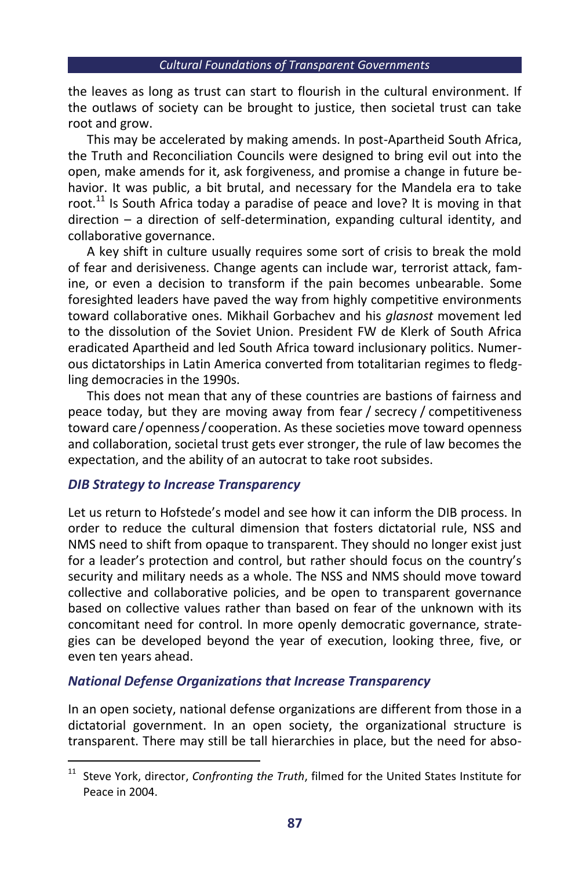the leaves as long as trust can start to flourish in the cultural environment. If the outlaws of society can be brought to justice, then societal trust can take root and grow.

This may be accelerated by making amends. In post-Apartheid South Africa, the Truth and Reconciliation Councils were designed to bring evil out into the open, make amends for it, ask forgiveness, and promise a change in future behavior. It was public, a bit brutal, and necessary for the Mandela era to take root.<sup>11</sup> Is South Africa today a paradise of peace and love? It is moving in that direction – a direction of self-determination, expanding cultural identity, and collaborative governance.

A key shift in culture usually requires some sort of crisis to break the mold of fear and derisiveness. Change agents can include war, terrorist attack, famine, or even a decision to transform if the pain becomes unbearable. Some foresighted leaders have paved the way from highly competitive environments toward collaborative ones. Mikhail Gorbachev and his *glasnost* movement led to the dissolution of the Soviet Union. President FW de Klerk of South Africa eradicated Apartheid and led South Africa toward inclusionary politics. Numerous dictatorships in Latin America converted from totalitarian regimes to fledgling democracies in the 1990s.

This does not mean that any of these countries are bastions of fairness and peace today, but they are moving away from fear / secrecy / competitiveness toward care/openness/cooperation. As these societies move toward openness and collaboration, societal trust gets ever stronger, the rule of law becomes the expectation, and the ability of an autocrat to take root subsides.

# *DIB Strategy to Increase Transparency*

1

Let us return to Hofstede's model and see how it can inform the DIB process. In order to reduce the cultural dimension that fosters dictatorial rule, NSS and NMS need to shift from opaque to transparent. They should no longer exist just for a leader's protection and control, but rather should focus on the country's security and military needs as a whole. The NSS and NMS should move toward collective and collaborative policies, and be open to transparent governance based on collective values rather than based on fear of the unknown with its concomitant need for control. In more openly democratic governance, strategies can be developed beyond the year of execution, looking three, five, or even ten years ahead.

# *National Defense Organizations that Increase Transparency*

In an open society, national defense organizations are different from those in a dictatorial government. In an open society, the organizational structure is transparent. There may still be tall hierarchies in place, but the need for abso-

<sup>11</sup> Steve York, director, *Confronting the Truth*, filmed for the United States Institute for Peace in 2004.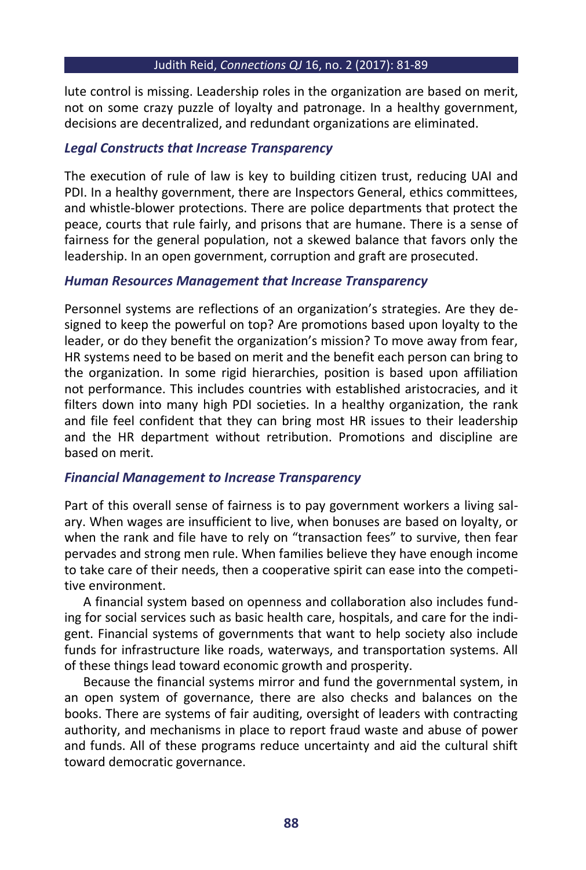#### Judith Reid, *Connections QJ* 16, no. 2 (2017): 81-89

lute control is missing. Leadership roles in the organization are based on merit, not on some crazy puzzle of loyalty and patronage. In a healthy government, decisions are decentralized, and redundant organizations are eliminated.

### *Legal Constructs that Increase Transparency*

The execution of rule of law is key to building citizen trust, reducing UAI and PDI. In a healthy government, there are Inspectors General, ethics committees, and whistle-blower protections. There are police departments that protect the peace, courts that rule fairly, and prisons that are humane. There is a sense of fairness for the general population, not a skewed balance that favors only the leadership. In an open government, corruption and graft are prosecuted.

### *Human Resources Management that Increase Transparency*

Personnel systems are reflections of an organization's strategies. Are they designed to keep the powerful on top? Are promotions based upon loyalty to the leader, or do they benefit the organization's mission? To move away from fear, HR systems need to be based on merit and the benefit each person can bring to the organization. In some rigid hierarchies, position is based upon affiliation not performance. This includes countries with established aristocracies, and it filters down into many high PDI societies. In a healthy organization, the rank and file feel confident that they can bring most HR issues to their leadership and the HR department without retribution. Promotions and discipline are based on merit.

# *Financial Management to Increase Transparency*

Part of this overall sense of fairness is to pay government workers a living salary. When wages are insufficient to live, when bonuses are based on loyalty, or when the rank and file have to rely on "transaction fees" to survive, then fear pervades and strong men rule. When families believe they have enough income to take care of their needs, then a cooperative spirit can ease into the competitive environment.

A financial system based on openness and collaboration also includes funding for social services such as basic health care, hospitals, and care for the indigent. Financial systems of governments that want to help society also include funds for infrastructure like roads, waterways, and transportation systems. All of these things lead toward economic growth and prosperity.

Because the financial systems mirror and fund the governmental system, in an open system of governance, there are also checks and balances on the books. There are systems of fair auditing, oversight of leaders with contracting authority, and mechanisms in place to report fraud waste and abuse of power and funds. All of these programs reduce uncertainty and aid the cultural shift toward democratic governance.